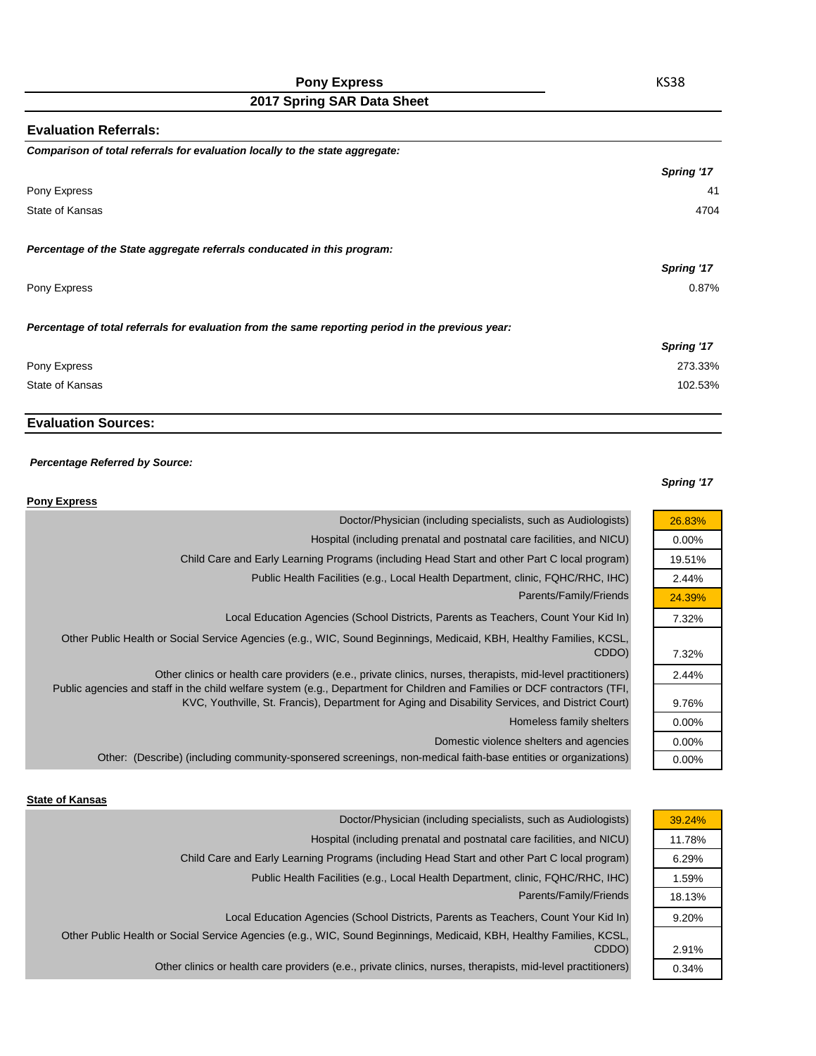## **Pony Express**

# **2017 Spring SAR Data Sheet**

| Comparison of total referrals for evaluation locally to the state aggregate:<br>Pony Express<br>State of Kansas<br>Percentage of the State aggregate referrals conducated in this program:<br>Pony Express<br>Percentage of total referrals for evaluation from the same reporting period in the previous year:<br>Pony Express<br>State of Kansas | <b>Evaluation Referrals:</b> |            |
|----------------------------------------------------------------------------------------------------------------------------------------------------------------------------------------------------------------------------------------------------------------------------------------------------------------------------------------------------|------------------------------|------------|
|                                                                                                                                                                                                                                                                                                                                                    |                              |            |
|                                                                                                                                                                                                                                                                                                                                                    |                              | Spring '17 |
|                                                                                                                                                                                                                                                                                                                                                    |                              | 41         |
|                                                                                                                                                                                                                                                                                                                                                    |                              | 4704       |
|                                                                                                                                                                                                                                                                                                                                                    |                              |            |
|                                                                                                                                                                                                                                                                                                                                                    |                              | Spring '17 |
|                                                                                                                                                                                                                                                                                                                                                    |                              | 0.87%      |
|                                                                                                                                                                                                                                                                                                                                                    |                              |            |
|                                                                                                                                                                                                                                                                                                                                                    |                              | Spring '17 |
|                                                                                                                                                                                                                                                                                                                                                    |                              | 273.33%    |
|                                                                                                                                                                                                                                                                                                                                                    |                              | 102.53%    |

## **Evaluation Sources:**

#### *Percentage Referred by Source:*

#### *Spring '17*

26.83% 0.00% 19.51% 2.44% 24.39% 7.32%

7.32% 2.44%

9.76% 0.00% 0.00% 0.00%

| <b>Pony Express</b>                                                                                                                                                                                                                                                                                                                           |
|-----------------------------------------------------------------------------------------------------------------------------------------------------------------------------------------------------------------------------------------------------------------------------------------------------------------------------------------------|
| Doctor/Physician (including specialists, such as Audiologists)                                                                                                                                                                                                                                                                                |
| Hospital (including prenatal and postnatal care facilities, and NICU)                                                                                                                                                                                                                                                                         |
| Child Care and Early Learning Programs (including Head Start and other Part C local program)                                                                                                                                                                                                                                                  |
| Public Health Facilities (e.g., Local Health Department, clinic, FQHC/RHC, IHC)                                                                                                                                                                                                                                                               |
| Parents/Family/Friends                                                                                                                                                                                                                                                                                                                        |
| Local Education Agencies (School Districts, Parents as Teachers, Count Your Kid In)                                                                                                                                                                                                                                                           |
| Other Public Health or Social Service Agencies (e.g., WIC, Sound Beginnings, Medicaid, KBH, Healthy Families, KCSL,<br>CDDO)                                                                                                                                                                                                                  |
| Other clinics or health care providers (e.e., private clinics, nurses, therapists, mid-level practitioners)<br>Public agencies and staff in the child welfare system (e.g., Department for Children and Families or DCF contractors (TFI,<br>KVC, Youthville, St. Francis), Department for Aging and Disability Services, and District Court) |
| Homeless family shelters                                                                                                                                                                                                                                                                                                                      |
| Domestic violence shelters and agencies                                                                                                                                                                                                                                                                                                       |
| Other: (Describe) (including community-sponsered screenings, non-medical faith-base entities or organizations)                                                                                                                                                                                                                                |

#### **State of Kansas**

| Doctor/Physician (including specialists, such as Audiologists)                                                      | 39.24% |
|---------------------------------------------------------------------------------------------------------------------|--------|
| Hospital (including prenatal and postnatal care facilities, and NICU)                                               | 11.78% |
| Child Care and Early Learning Programs (including Head Start and other Part C local program)                        | 6.29%  |
| Public Health Facilities (e.g., Local Health Department, clinic, FQHC/RHC, IHC)                                     | 1.59%  |
| Parents/Family/Friends                                                                                              | 18.13% |
| Local Education Agencies (School Districts, Parents as Teachers, Count Your Kid In)                                 | 9.20%  |
| Other Public Health or Social Service Agencies (e.g., WIC, Sound Beginnings, Medicaid, KBH, Healthy Families, KCSL, |        |
| CDDO)                                                                                                               | 2.91%  |
| Other clinics or health care providers (e.e., private clinics, nurses, therapists, mid-level practitioners)         | 0.34%  |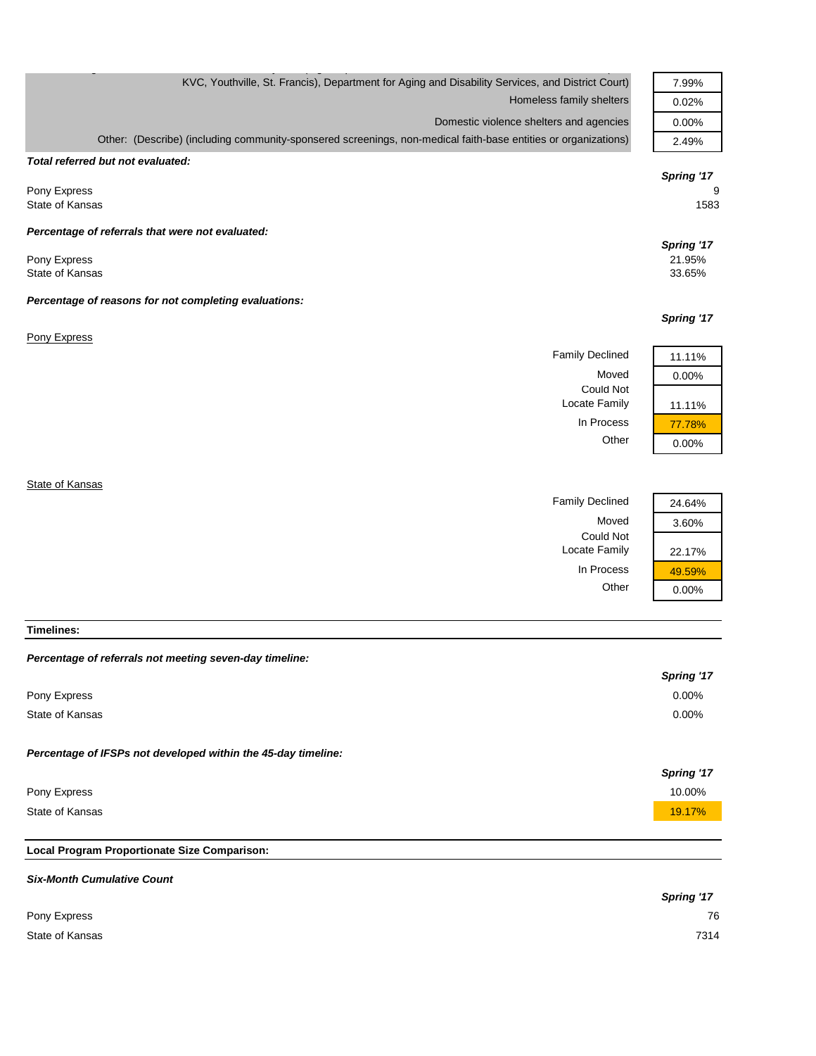| KVC, Youthville, St. Francis), Department for Aging and Disability Services, and District Court)               | 7.99%      |
|----------------------------------------------------------------------------------------------------------------|------------|
| Homeless family shelters                                                                                       | 0.02%      |
| Domestic violence shelters and agencies                                                                        | 0.00%      |
| Other: (Describe) (including community-sponsered screenings, non-medical faith-base entities or organizations) | 2.49%      |
| Total referred but not evaluated:                                                                              |            |
|                                                                                                                | Spring '17 |
| Pony Express                                                                                                   | 9          |
| State of Kansas                                                                                                | 1583       |
| Percentage of referrals that were not evaluated:                                                               |            |
|                                                                                                                | Spring '17 |
| Pony Express                                                                                                   | 21.95%     |
| State of Kansas                                                                                                | 33.65%     |
| Percentage of reasons for not completing evaluations:                                                          |            |
|                                                                                                                | Spring '17 |
| Pony Express                                                                                                   |            |
| <b>Family Declined</b>                                                                                         | 11.11%     |
| Moved                                                                                                          | 0.00%      |
| <b>Could Not</b>                                                                                               |            |
| Locate Family                                                                                                  | 11.11%     |
| In Process                                                                                                     | 77.78%     |
| Other                                                                                                          | 0.00%      |
|                                                                                                                |            |
|                                                                                                                |            |

**State of Kansas** 

| <b>Family Declined</b>     |
|----------------------------|
| Moved                      |
| Could Not<br>Locate Family |
| In Process                 |
| Other                      |
|                            |



**Timelines:**

## *Percentage of referrals not meeting seven-day timeline:*

|                                                               | Spring '17 |
|---------------------------------------------------------------|------------|
| Pony Express                                                  | $0.00\%$   |
| State of Kansas                                               | $0.00\%$   |
| Percentage of IFSPs not developed within the 45-day timeline: |            |
|                                                               | Spring '17 |
| Pony Express                                                  | 10.00%     |
| State of Kansas                                               | 19.17%     |
|                                                               |            |

## **Local Program Proportionate Size Comparison:**

| <b>Six-Month Cumulative Count</b> |            |
|-----------------------------------|------------|
|                                   | Spring '17 |
| Pony Express                      | 76         |
| State of Kansas                   | 7314       |